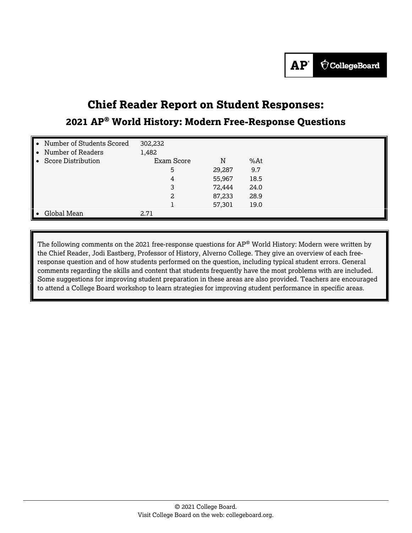# **Chief Reader Report on Student Responses: 2021 AP® World History: Modern Free-Response Questions**

| ╻           | Number of Students Scored | 302,232    |        |      |  |  |
|-------------|---------------------------|------------|--------|------|--|--|
|             | Number of Readers         | 1,482      |        |      |  |  |
| $\ \cdot\ $ | <b>Score Distribution</b> | Exam Score | N      | %At  |  |  |
|             |                           | 5          | 29,287 | 9.7  |  |  |
|             |                           | 4          | 55,967 | 18.5 |  |  |
|             |                           | 3          | 72,444 | 24.0 |  |  |
|             |                           |            | 87,233 | 28.9 |  |  |
|             |                           |            | 57,301 | 19.0 |  |  |
| Ι.          | Global Mean               | 2.71       |        |      |  |  |

The following comments on the 2021 free-response questions for AP® World History: Modern were written by the Chief Reader, Jodi Eastberg, Professor of History, Alverno College. They give an overview of each freeresponse question and of how students performed on the question, including typical student errors. General comments regarding the skills and content that students frequently have the most problems with are included. Some suggestions for improving student preparation in these areas are also provided. Teachers are encouraged to attend a College Board workshop to learn strategies for improving student performance in specific areas.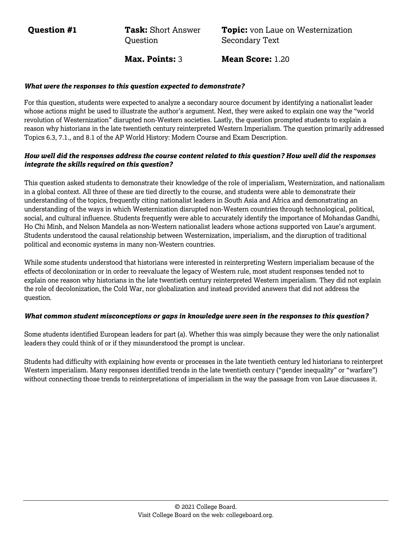**Question #1 Task:** Short Answer **Ouestion** 

**Topic:** von Laue on Westernization Secondary Text

**Max. Points:** 3 **Mean Score:** 1.20

#### *What were the responses to this question expected to demonstrate?*

For this question, students were expected to analyze a secondary source document by identifying a nationalist leader whose actions might be used to illustrate the author's argument. Next, they were asked to explain one way the "world revolution of Westernization" disrupted non-Western societies. Lastly, the question prompted students to explain a reason why historians in the late twentieth century reinterpreted Western Imperialism. The question primarily addressed Topics 6.3, 7.1., and 8.1 of the AP World History: Modern Course and Exam Description.

# *How well did the responses address the course content related to this question? How well did the responses integrate the skills required on this question?*

This question asked students to demonstrate their knowledge of the role of imperialism, Westernization, and nationalism in a global context. All three of these are tied directly to the course, and students were able to demonstrate their understanding of the topics, frequently citing nationalist leaders in South Asia and Africa and demonstrating an understanding of the ways in which Westernization disrupted non-Western countries through technological, political, social, and cultural influence. Students frequently were able to accurately identify the importance of Mohandas Gandhi, Ho Chi Minh, and Nelson Mandela as non-Western nationalist leaders whose actions supported von Laue's argument. Students understood the causal relationship between Westernization, imperialism, and the disruption of traditional political and economic systems in many non-Western countries.

While some students understood that historians were interested in reinterpreting Western imperialism because of the effects of decolonization or in order to reevaluate the legacy of Western rule, most student responses tended not to explain one reason why historians in the late twentieth century reinterpreted Western imperialism. They did not explain the role of decolonization, the Cold War, nor globalization and instead provided answers that did not address the question.

# *What common student misconceptions or gaps in knowledge were seen in the responses to this question?*

Some students identified European leaders for part (a). Whether this was simply because they were the only nationalist leaders they could think of or if they misunderstood the prompt is unclear.

Students had difficulty with explaining how events or processes in the late twentieth century led historians to reinterpret Western imperialism. Many responses identified trends in the late twentieth century ("gender inequality" or "warfare") without connecting those trends to reinterpretations of imperialism in the way the passage from von Laue discusses it.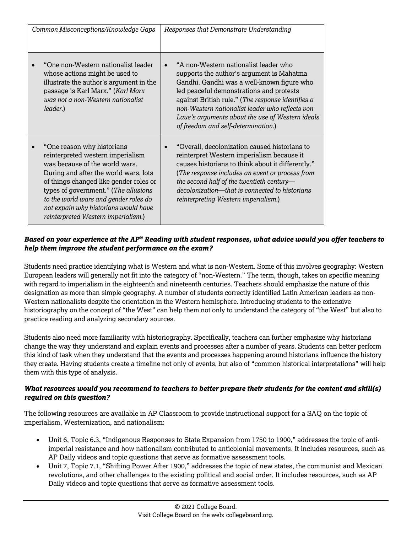| Common Misconceptions/Knowledge Gaps                                                                                                                                                                                                                                                                                                                 | Responses that Demonstrate Understanding                                                                                                                                                                                                                                                                                                                                        |
|------------------------------------------------------------------------------------------------------------------------------------------------------------------------------------------------------------------------------------------------------------------------------------------------------------------------------------------------------|---------------------------------------------------------------------------------------------------------------------------------------------------------------------------------------------------------------------------------------------------------------------------------------------------------------------------------------------------------------------------------|
| "One non-Western nationalist leader<br>whose actions might be used to<br>illustrate the author's argument in the<br>passage is Karl Marx." (Karl Marx<br>was not a non-Western nationalist<br>leader.)                                                                                                                                               | "A non-Western nationalist leader who<br>supports the author's argument is Mahatma<br>Gandhi. Gandhi was a well-known figure who<br>led peaceful demonstrations and protests<br>against British rule." (The response identifies a<br>non-Western nationalist leader who reflects von<br>Laue's arguments about the use of Western ideals<br>of freedom and self-determination.) |
| "One reason why historians<br>reinterpreted western imperialism<br>was because of the world wars.<br>During and after the world wars, lots<br>of things changed like gender roles or<br>types of government." (The allusions<br>to the world wars and gender roles do<br>not expain why historians would have<br>reinterpreted Western imperialism.) | "Overall, decolonization caused historians to<br>reinterpret Western imperialism because it<br>causes historians to think about it differently."<br>(The response includes an event or process from<br>the second half of the twentieth century-<br>decolonization-that is connected to historians<br>reinterpreting Western imperialism.)                                      |

Students need practice identifying what is Western and what is non-Western. Some of this involves geography: Western European leaders will generally not fit into the category of "non-Western." The term, though, takes on specific meaning with regard to imperialism in the eighteenth and nineteenth centuries. Teachers should emphasize the nature of this designation as more than simple geography. A number of students correctly identified Latin American leaders as non-Western nationalists despite the orientation in the Western hemisphere. Introducing students to the extensive historiography on the concept of "the West" can help them not only to understand the category of "the West" but also to practice reading and analyzing secondary sources.

Students also need more familiarity with historiography. Specifically, teachers can further emphasize why historians change the way they understand and explain events and processes after a number of years. Students can better perform this kind of task when they understand that the events and processes happening around historians influence the history they create. Having students create a timeline not only of events, but also of "common historical interpretations" will help them with this type of analysis.

# *What resources would you recommend to teachers to better prepare their students for the content and skill(s) required on this question?*

The following resources are available in AP Classroom to provide instructional support for a SAQ on the topic of imperialism, Westernization, and nationalism:

- Unit 6, Topic 6.3, "Indigenous Responses to State Expansion from 1750 to 1900," addresses the topic of antiimperial resistance and how nationalism contributed to anticolonial movements. It includes resources, such as AP Daily videos and topic questions that serve as formative assessment tools.
- Unit 7, Topic 7.1, "Shifting Power After 1900," addresses the topic of new states, the communist and Mexican revolutions, and other challenges to the existing political and social order. It includes resources, such as AP Daily videos and topic questions that serve as formative assessment tools.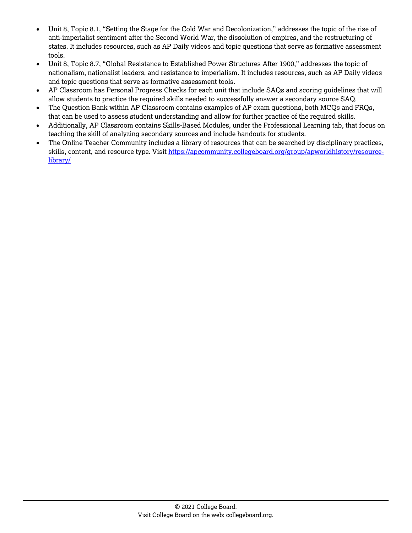- Unit 8, Topic 8.1, "Setting the Stage for the Cold War and Decolonization," addresses the topic of the rise of anti-imperialist sentiment after the Second World War, the dissolution of empires, and the restructuring of states. It includes resources, such as AP Daily videos and topic questions that serve as formative assessment tools.
- Unit 8, Topic 8.7, "Global Resistance to Established Power Structures After 1900," addresses the topic of nationalism, nationalist leaders, and resistance to imperialism. It includes resources, such as AP Daily videos and topic questions that serve as formative assessment tools.
- AP Classroom has Personal Progress Checks for each unit that include SAQs and scoring guidelines that will allow students to practice the required skills needed to successfully answer a secondary source SAQ.
- The Question Bank within AP Classroom contains examples of AP exam questions, both MCQs and FRQs, that can be used to assess student understanding and allow for further practice of the required skills.
- Additionally, AP Classroom contains Skills-Based Modules, under the Professional Learning tab, that focus on teaching the skill of analyzing secondary sources and include handouts for students.
- The Online Teacher Community includes a library of resources that can be searched by disciplinary practices, skills, content, and resource type. Visit [https://apcommunity.collegeboard.org/group/apworldhistory/resource](https://apcommunity.collegeboard.org/group/apworldhistory/resource-library/)[library/](https://apcommunity.collegeboard.org/group/apworldhistory/resource-library/)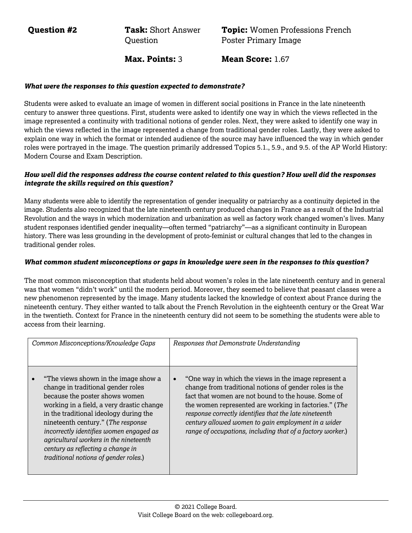**Question #2 Task:** Short Answer **Ouestion** 

**Topic:** Women Professions French Poster Primary Image

**Max. Points:** 3 **Mean Score:** 1.67

#### *What were the responses to this question expected to demonstrate?*

Students were asked to evaluate an image of women in different social positions in France in the late nineteenth century to answer three questions. First, students were asked to identify one way in which the views reflected in the image represented a continuity with traditional notions of gender roles. Next, they were asked to identify one way in which the views reflected in the image represented a change from traditional gender roles. Lastly, they were asked to explain one way in which the format or intended audience of the source may have influenced the way in which gender roles were portrayed in the image. The question primarily addressed Topics 5.1., 5.9., and 9.5. of the AP World History: Modern Course and Exam Description.

#### *How well did the responses address the course content related to this question? How well did the responses integrate the skills required on this question?*

Many students were able to identify the representation of gender inequality or patriarchy as a continuity depicted in the image. Students also recognized that the late nineteenth century produced changes in France as a result of the Industrial Revolution and the ways in which modernization and urbanization as well as factory work changed women's lives. Many student responses identified gender inequality—often termed "patriarchy"—as a significant continuity in European history. There was less grounding in the development of proto-feminist or cultural changes that led to the changes in traditional gender roles.

#### *What common student misconceptions or gaps in knowledge were seen in the responses to this question?*

The most common misconception that students held about women's roles in the late nineteenth century and in general was that women "didn't work" until the modern period. Moreover, they seemed to believe that peasant classes were a new phenomenon represented by the image. Many students lacked the knowledge of context about France during the nineteenth century. They either wanted to talk about the French Revolution in the eighteenth century or the Great War in the twentieth. Context for France in the nineteenth century did not seem to be something the students were able to access from their learning.

| Common Misconceptions/Knowledge Gaps                                                                                                                                                                                                                                                                                                                                                                         | Responses that Demonstrate Understanding                                                                                                                                                                                                                                                                                                                                                                                   |
|--------------------------------------------------------------------------------------------------------------------------------------------------------------------------------------------------------------------------------------------------------------------------------------------------------------------------------------------------------------------------------------------------------------|----------------------------------------------------------------------------------------------------------------------------------------------------------------------------------------------------------------------------------------------------------------------------------------------------------------------------------------------------------------------------------------------------------------------------|
| "The views shown in the image show a<br>change in traditional gender roles<br>because the poster shows women<br>working in a field, a very drastic change<br>in the traditional ideology during the<br>nineteenth century." (The response<br>incorrectly identifies women engaged as<br>agricultural workers in the nineteenth<br>century as reflecting a change in<br>traditional notions of gender roles.) | "One way in which the views in the image represent a<br>$\bullet$<br>change from traditional notions of gender roles is the<br>fact that women are not bound to the house. Some of<br>the women represented are working in factories." (The<br>response correctly identifies that the late nineteenth<br>century allowed women to gain employment in a wider<br>range of occupations, including that of a factory worker.) |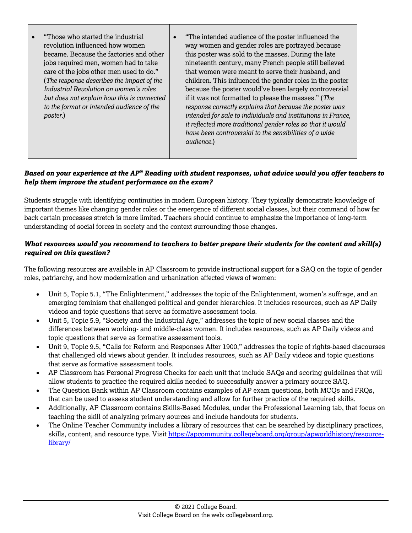| "Those who started the industrial"<br>revolution influenced how women<br>became. Because the factories and other<br>jobs required men, women had to take<br>care of the jobs other men used to do."<br>(The response describes the impact of the<br>Industrial Revolution on women's roles<br>but does not explain how this is connected<br>to the format or intended audience of the<br>poster.) | "The intended audience of the poster influenced the<br>way women and gender roles are portrayed because<br>this poster was sold to the masses. During the late<br>nineteenth century, many French people still believed<br>that women were meant to serve their husband, and<br>children. This influenced the gender roles in the poster<br>because the poster would've been largely controversial<br>if it was not formatted to please the masses." (The<br>response correctly explains that because the poster was<br>intended for sale to individuals and institutions in France,<br>it reflected more traditional gender roles so that it would<br>have been controversial to the sensibilities of a wide<br>audience.) |
|---------------------------------------------------------------------------------------------------------------------------------------------------------------------------------------------------------------------------------------------------------------------------------------------------------------------------------------------------------------------------------------------------|-----------------------------------------------------------------------------------------------------------------------------------------------------------------------------------------------------------------------------------------------------------------------------------------------------------------------------------------------------------------------------------------------------------------------------------------------------------------------------------------------------------------------------------------------------------------------------------------------------------------------------------------------------------------------------------------------------------------------------|
|---------------------------------------------------------------------------------------------------------------------------------------------------------------------------------------------------------------------------------------------------------------------------------------------------------------------------------------------------------------------------------------------------|-----------------------------------------------------------------------------------------------------------------------------------------------------------------------------------------------------------------------------------------------------------------------------------------------------------------------------------------------------------------------------------------------------------------------------------------------------------------------------------------------------------------------------------------------------------------------------------------------------------------------------------------------------------------------------------------------------------------------------|

Students struggle with identifying continuities in modern European history. They typically demonstrate knowledge of important themes like changing gender roles or the emergence of different social classes, but their command of how far back certain processes stretch is more limited. Teachers should continue to emphasize the importance of long-term understanding of social forces in society and the context surrounding those changes.

# *What resources would you recommend to teachers to better prepare their students for the content and skill(s) required on this question?*

The following resources are available in AP Classroom to provide instructional support for a SAQ on the topic of gender roles, patriarchy, and how modernization and urbanization affected views of women:

- Unit 5, Topic 5.1, "The Enlightenment," addresses the topic of the Enlightenment, women's suffrage, and an emerging feminism that challenged political and gender hierarchies. It includes resources, such as AP Daily videos and topic questions that serve as formative assessment tools.
- Unit 5, Topic 5.9, "Society and the Industrial Age," addresses the topic of new social classes and the differences between working- and middle-class women. It includes resources, such as AP Daily videos and topic questions that serve as formative assessment tools.
- Unit 9, Topic 9.5, "Calls for Reform and Responses After 1900," addresses the topic of rights-based discourses that challenged old views about gender. It includes resources, such as AP Daily videos and topic questions that serve as formative assessment tools.
- AP Classroom has Personal Progress Checks for each unit that include SAQs and scoring guidelines that will allow students to practice the required skills needed to successfully answer a primary source SAQ.
- The Question Bank within AP Classroom contains examples of AP exam questions, both MCQs and FRQs, that can be used to assess student understanding and allow for further practice of the required skills.
- Additionally, AP Classroom contains Skills-Based Modules, under the Professional Learning tab, that focus on teaching the skill of analyzing primary sources and include handouts for students.
- The Online Teacher Community includes a library of resources that can be searched by disciplinary practices, skills, content, and resource type. Visit [https://apcommunity.collegeboard.org/group/apworldhistory/resource](https://apcommunity.collegeboard.org/group/apworldhistory/resource-library/)[library/](https://apcommunity.collegeboard.org/group/apworldhistory/resource-library/)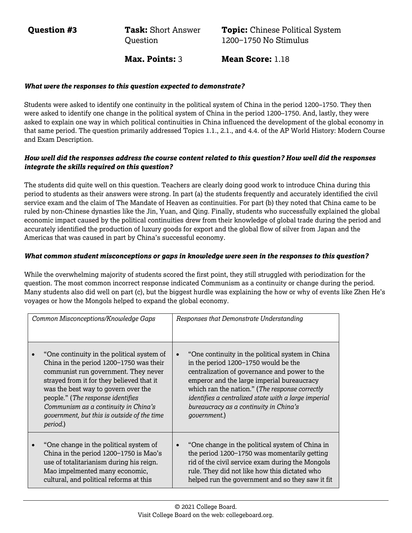**Question #3 Task:** Short Answer **Ouestion** 

**Topic:** Chinese Political System 1200−1750 No Stimulus

**Max. Points:** 3 **Mean Score:** 1.18

#### *What were the responses to this question expected to demonstrate?*

Students were asked to identify one continuity in the political system of China in the period 1200–1750. They then were asked to identify one change in the political system of China in the period 1200–1750. And, lastly, they were asked to explain one way in which political continuities in China influenced the development of the global economy in that same period. The question primarily addressed Topics 1.1., 2.1., and 4.4. of the AP World History: Modern Course and Exam Description.

# *How well did the responses address the course content related to this question? How well did the responses integrate the skills required on this question?*

The students did quite well on this question. Teachers are clearly doing good work to introduce China during this period to students as their answers were strong. In part (a) the students frequently and accurately identified the civil service exam and the claim of The Mandate of Heaven as continuities. For part (b) they noted that China came to be ruled by non-Chinese dynasties like the Jin, Yuan, and Qing. Finally, students who successfully explained the global economic impact caused by the political continuities drew from their knowledge of global trade during the period and accurately identified the production of luxury goods for export and the global flow of silver from Japan and the Americas that was caused in part by China's successful economy.

#### *What common student misconceptions or gaps in knowledge were seen in the responses to this question?*

While the overwhelming majority of students scored the first point, they still struggled with periodization for the question. The most common incorrect response indicated Communism as a continuity or change during the period. Many students also did well on part (c), but the biggest hurdle was explaining the how or why of events like Zhen He's voyages or how the Mongols helped to expand the global economy.

| Common Misconceptions/Knowledge Gaps |                                                                                                                                                                                                                                                                                                                                                           | Responses that Demonstrate Understanding                                                                                                                                                                                                                                                                                                                     |  |
|--------------------------------------|-----------------------------------------------------------------------------------------------------------------------------------------------------------------------------------------------------------------------------------------------------------------------------------------------------------------------------------------------------------|--------------------------------------------------------------------------------------------------------------------------------------------------------------------------------------------------------------------------------------------------------------------------------------------------------------------------------------------------------------|--|
|                                      | "One continuity in the political system of<br>China in the period 1200-1750 was their<br>communist run government. They never<br>strayed from it for they believed that it<br>was the best way to govern over the<br>people." (The response identifies<br>Communism as a continuity in China's<br>government, but this is outside of the time<br>period.) | "One continuity in the political system in China"<br>in the period 1200-1750 would be the<br>centralization of governance and power to the<br>emperor and the large imperial bureaucracy<br>which ran the nation." (The response correctly<br>identifies a centralized state with a large imperial<br>bureaucracy as a continuity in China's<br>qovernment.) |  |
|                                      | "One change in the political system of<br>China in the period 1200-1750 is Mao's<br>use of totalitarianism during his reign.<br>Mao impelmented many economic,<br>cultural, and political reforms at this                                                                                                                                                 | "One change in the political system of China in<br>the period 1200-1750 was momentarily getting<br>rid of the civil service exam during the Mongols<br>rule. They did not like how this dictated who<br>helped run the government and so they saw it fit                                                                                                     |  |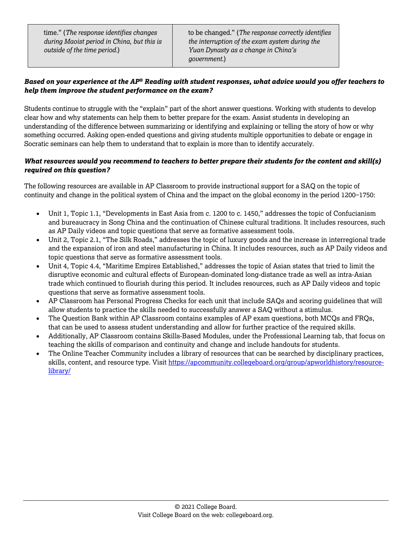time." (*The response identifies changes during Maoist period in China, but this is outside of the time period.*)

to be changed." (*The response correctly identifies the interruption of the exam system during the Yuan Dynasty as a change in China's government.*)

# *Based on your experience at the AP® Reading with student responses, what advice would you offer teachers to help them improve the student performance on the exam?*

Students continue to struggle with the "explain" part of the short answer questions. Working with students to develop clear how and why statements can help them to better prepare for the exam. Assist students in developing an understanding of the difference between summarizing or identifying and explaining or telling the story of how or why something occurred. Asking open-ended questions and giving students multiple opportunities to debate or engage in Socratic seminars can help them to understand that to explain is more than to identify accurately.

# *What resources would you recommend to teachers to better prepare their students for the content and skill(s) required on this question?*

The following resources are available in AP Classroom to provide instructional support for a SAQ on the topic of continuity and change in the political system of China and the impact on the global economy in the period 1200−1750:

- Unit 1, Topic 1.1, "Developments in East Asia from c. 1200 to c. 1450," addresses the topic of Confucianism and bureaucracy in Song China and the continuation of Chinese cultural traditions. It includes resources, such as AP Daily videos and topic questions that serve as formative assessment tools.
- Unit 2, Topic 2.1, "The Silk Roads," addresses the topic of luxury goods and the increase in interregional trade and the expansion of iron and steel manufacturing in China. It includes resources, such as AP Daily videos and topic questions that serve as formative assessment tools.
- Unit 4, Topic 4.4, "Maritime Empires Established," addresses the topic of Asian states that tried to limit the disruptive economic and cultural effects of European-dominated long-distance trade as well as intra-Asian trade which continued to flourish during this period. It includes resources, such as AP Daily videos and topic questions that serve as formative assessment tools.
- AP Classroom has Personal Progress Checks for each unit that include SAQs and scoring guidelines that will allow students to practice the skills needed to successfully answer a SAQ without a stimulus.
- The Question Bank within AP Classroom contains examples of AP exam questions, both MCQs and FRQs, that can be used to assess student understanding and allow for further practice of the required skills.
- Additionally, AP Classroom contains Skills-Based Modules, under the Professional Learning tab, that focus on teaching the skills of comparison and continuity and change and include handouts for students.
- The Online Teacher Community includes a library of resources that can be searched by disciplinary practices, skills, content, and resource type. Visit [https://apcommunity.collegeboard.org/group/apworldhistory/resource](https://apcommunity.collegeboard.org/group/apworldhistory/resource-library/)[library/](https://apcommunity.collegeboard.org/group/apworldhistory/resource-library/)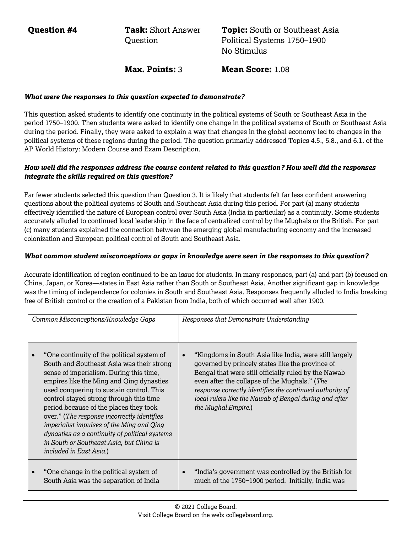**Question #4 Task:** Short Answer **Ouestion** 

**Topic:** South or Southeast Asia Political Systems 1750–1900 No Stimulus

**Max. Points:** 3 **Mean Score:** 1.08

#### *What were the responses to this question expected to demonstrate?*

This question asked students to identify one continuity in the political systems of South or Southeast Asia in the period 1750–1900. Then students were asked to identify one change in the political systems of South or Southeast Asia during the period. Finally, they were asked to explain a way that changes in the global economy led to changes in the political systems of these regions during the period. The question primarily addressed Topics 4.5., 5.8., and 6.1. of the AP World History: Modern Course and Exam Description.

#### *How well did the responses address the course content related to this question? How well did the responses integrate the skills required on this question?*

Far fewer students selected this question than Question 3. It is likely that students felt far less confident answering questions about the political systems of South and Southeast Asia during this period. For part (a) many students effectively identified the nature of European control over South Asia (India in particular) as a continuity. Some students accurately alluded to continued local leadership in the face of centralized control by the Mughals or the British. For part (c) many students explained the connection between the emerging global manufacturing economy and the increased colonization and European political control of South and Southeast Asia.

# *What common student misconceptions or gaps in knowledge were seen in the responses to this question?*

Accurate identification of region continued to be an issue for students. In many responses, part (a) and part (b) focused on China, Japan, or Korea—states in East Asia rather than South or Southeast Asia. Another significant gap in knowledge was the timing of independence for colonies in South and Southeast Asia. Responses frequently alluded to India breaking free of British control or the creation of a Pakistan from India, both of which occurred well after 1900.

| Common Misconceptions/Knowledge Gaps |                                                                                                                                                                                                                                                                                                                                                                                                                                                                                                                                      | Responses that Demonstrate Understanding                                                                                                                                                                                                                                                                                                                         |
|--------------------------------------|--------------------------------------------------------------------------------------------------------------------------------------------------------------------------------------------------------------------------------------------------------------------------------------------------------------------------------------------------------------------------------------------------------------------------------------------------------------------------------------------------------------------------------------|------------------------------------------------------------------------------------------------------------------------------------------------------------------------------------------------------------------------------------------------------------------------------------------------------------------------------------------------------------------|
|                                      | "One continuity of the political system of<br>South and Southeast Asia was their strong<br>sense of imperialism. During this time,<br>empires like the Ming and Qing dynasties<br>used conquering to sustain control. This<br>control stayed strong through this time<br>period because of the places they took<br>over." (The response incorrectly identifies<br>imperialist impulses of the Ming and Qing<br>dynasties as a continuity of political systems<br>in South or Southeast Asia, but China is<br>included in East Asia.) | "Kingdoms in South Asia like India, were still largely<br>governed by princely states like the province of<br>Bengal that were still officially ruled by the Nawab<br>even after the collapse of the Mughals." (The<br>response correctly identifies the continued authority of<br>local rulers like the Nawab of Bengal during and after<br>the Mughal Empire.) |
|                                      | "One change in the political system of<br>South Asia was the separation of India                                                                                                                                                                                                                                                                                                                                                                                                                                                     | "India's government was controlled by the British for<br>much of the 1750–1900 period. Initially, India was                                                                                                                                                                                                                                                      |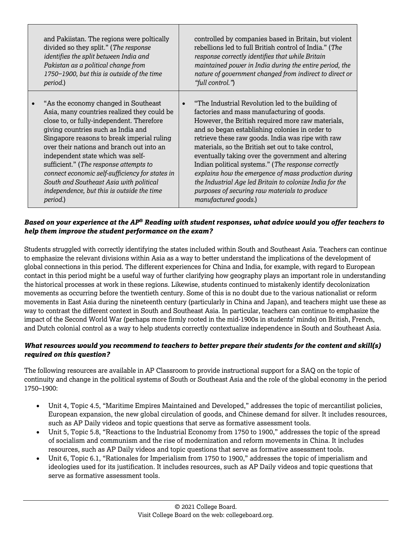| and Pakiistan. The regions were poltically<br>divided so they split." (The response<br>identifies the split between India and<br>Pakistan as a political change from<br>1750-1900, but this is outside of the time<br>period.)                                                                                                                                                                                                                                                                           | controlled by companies based in Britain, but violent<br>rebellions led to full British control of India." (The<br>response correctly identifies that while Britain<br>maintained power in India during the entire period, the<br>nature of government changed from indirect to direct or<br>"full control.")                                                                                                                                                                                                                                                                                                              |
|----------------------------------------------------------------------------------------------------------------------------------------------------------------------------------------------------------------------------------------------------------------------------------------------------------------------------------------------------------------------------------------------------------------------------------------------------------------------------------------------------------|----------------------------------------------------------------------------------------------------------------------------------------------------------------------------------------------------------------------------------------------------------------------------------------------------------------------------------------------------------------------------------------------------------------------------------------------------------------------------------------------------------------------------------------------------------------------------------------------------------------------------|
| "As the economy changed in Southeast<br>Asia, many countries realized they could be<br>close to, or fully-independent. Therefore<br>giving countries such as India and<br>Singapore reasons to break imperial ruling<br>over their nations and branch out into an<br>independent state which was self-<br>sufficient." (The response attempts to<br>connect economic self-sufficiency for states in<br>South and Southeast Asia with political<br>independence, but this is outside the time<br>period.) | "The Industrial Revolution led to the building of<br>factories and mass manufacturing of goods.<br>However, the British required more raw materials,<br>and so began establishing colonies in order to<br>retrieve these raw goods. India was ripe with raw<br>materials, so the British set out to take control,<br>eventually taking over the government and altering<br>Indian political systems." (The response correctly<br>explains how the emergence of mass production during<br>the Industrial Age led Britain to colonize India for the<br>purposes of securing raw materials to produce<br>manufactured goods.) |

Students struggled with correctly identifying the states included within South and Southeast Asia. Teachers can continue to emphasize the relevant divisions within Asia as a way to better understand the implications of the development of global connections in this period. The different experiences for China and India, for example, with regard to European contact in this period might be a useful way of further clarifying how geography plays an important role in understanding the historical processes at work in these regions. Likewise, students continued to mistakenly identify decolonization movements as occurring before the twentieth century. Some of this is no doubt due to the various nationalist or reform movements in East Asia during the nineteenth century (particularly in China and Japan), and teachers might use these as way to contrast the different context in South and Southeast Asia. In particular, teachers can continue to emphasize the impact of the Second World War (perhaps more firmly rooted in the mid-1900s in students' minds) on British, French, and Dutch colonial control as a way to help students correctly contextualize independence in South and Southeast Asia.

# *What resources would you recommend to teachers to better prepare their students for the content and skill(s) required on this question?*

The following resources are available in AP Classroom to provide instructional support for a SAQ on the topic of continuity and change in the political systems of South or Southeast Asia and the role of the global economy in the period 1750–1900:

- Unit 4, Topic 4.5, "Maritime Empires Maintained and Developed," addresses the topic of mercantilist policies, European expansion, the new global circulation of goods, and Chinese demand for silver. It includes resources, such as AP Daily videos and topic questions that serve as formative assessment tools.
- Unit 5, Topic 5.8, "Reactions to the Industrial Economy from 1750 to 1900," addresses the topic of the spread of socialism and communism and the rise of modernization and reform movements in China. It includes resources, such as AP Daily videos and topic questions that serve as formative assessment tools.
- Unit 6, Topic 6.1, "Rationales for Imperialism from 1750 to 1900," addresses the topic of imperialism and ideologies used for its justification. It includes resources, such as AP Daily videos and topic questions that serve as formative assessment tools.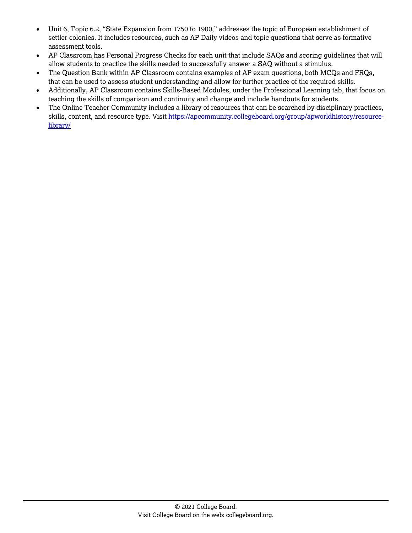- Unit 6, Topic 6.2, "State Expansion from 1750 to 1900," addresses the topic of European establishment of settler colonies. It includes resources, such as AP Daily videos and topic questions that serve as formative assessment tools.
- AP Classroom has Personal Progress Checks for each unit that include SAQs and scoring guidelines that will allow students to practice the skills needed to successfully answer a SAQ without a stimulus.
- The Question Bank within AP Classroom contains examples of AP exam questions, both MCQs and FRQs, that can be used to assess student understanding and allow for further practice of the required skills.
- Additionally, AP Classroom contains Skills-Based Modules, under the Professional Learning tab, that focus on teaching the skills of comparison and continuity and change and include handouts for students.
- The Online Teacher Community includes a library of resources that can be searched by disciplinary practices, skills, content, and resource type. Visit [https://apcommunity.collegeboard.org/group/apworldhistory/resource](https://apcommunity.collegeboard.org/group/apworldhistory/resource-library/)[library/](https://apcommunity.collegeboard.org/group/apworldhistory/resource-library/)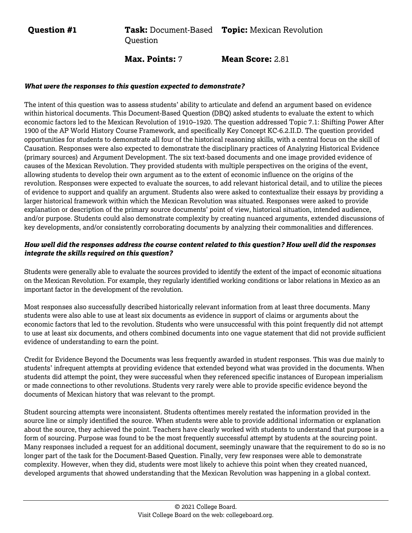**Question #1 Task:** Document-Based **Topic:** Mexican Revolution **Ouestion** 

**Max. Points:** 7 **Mean Score:** 2.81

#### *What were the responses to this question expected to demonstrate?*

The intent of this question was to assess students' ability to articulate and defend an argument based on evidence within historical documents. This Document-Based Question (DBQ) asked students to evaluate the extent to which economic factors led to the Mexican Revolution of 1910–1920. The question addressed Topic 7.1: Shifting Power After 1900 of the AP World History Course Framework, and specifically Key Concept KC-6.2.II.D. The question provided opportunities for students to demonstrate all four of the historical reasoning skills, with a central focus on the skill of Causation. Responses were also expected to demonstrate the disciplinary practices of Analyzing Historical Evidence (primary sources) and Argument Development. The six text-based documents and one image provided evidence of causes of the Mexican Revolution. They provided students with multiple perspectives on the origins of the event, allowing students to develop their own argument as to the extent of economic influence on the origins of the revolution. Responses were expected to evaluate the sources, to add relevant historical detail, and to utilize the pieces of evidence to support and qualify an argument. Students also were asked to contextualize their essays by providing a larger historical framework within which the Mexican Revolution was situated. Responses were asked to provide explanation or description of the primary source documents' point of view, historical situation, intended audience, and/or purpose. Students could also demonstrate complexity by creating nuanced arguments, extended discussions of key developments, and/or consistently corroborating documents by analyzing their commonalities and differences.

# *How well did the responses address the course content related to this question? How well did the responses integrate the skills required on this question?*

Students were generally able to evaluate the sources provided to identify the extent of the impact of economic situations on the Mexican Revolution. For example, they regularly identified working conditions or labor relations in Mexico as an important factor in the development of the revolution.

Most responses also successfully described historically relevant information from at least three documents. Many students were also able to use at least six documents as evidence in support of claims or arguments about the economic factors that led to the revolution. Students who were unsuccessful with this point frequently did not attempt to use at least six documents, and others combined documents into one vague statement that did not provide sufficient evidence of understanding to earn the point.

Credit for Evidence Beyond the Documents was less frequently awarded in student responses. This was due mainly to students' infrequent attempts at providing evidence that extended beyond what was provided in the documents. When students did attempt the point, they were successful when they referenced specific instances of European imperialism or made connections to other revolutions. Students very rarely were able to provide specific evidence beyond the documents of Mexican history that was relevant to the prompt.

Student sourcing attempts were inconsistent. Students oftentimes merely restated the information provided in the source line or simply identified the source. When students were able to provide additional information or explanation about the source, they achieved the point. Teachers have clearly worked with students to understand that purpose is a form of sourcing. Purpose was found to be the most frequently successful attempt by students at the sourcing point. Many responses included a request for an additional document, seemingly unaware that the requirement to do so is no longer part of the task for the Document-Based Question. Finally, very few responses were able to demonstrate complexity. However, when they did, students were most likely to achieve this point when they created nuanced, developed arguments that showed understanding that the Mexican Revolution was happening in a global context.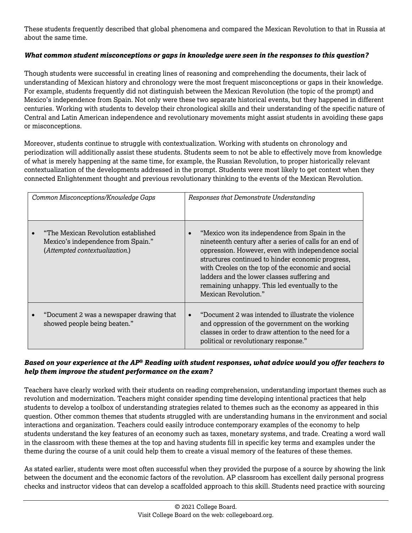These students frequently described that global phenomena and compared the Mexican Revolution to that in Russia at about the same time.

# *What common student misconceptions or gaps in knowledge were seen in the responses to this question?*

Though students were successful in creating lines of reasoning and comprehending the documents, their lack of understanding of Mexican history and chronology were the most frequent misconceptions or gaps in their knowledge. For example, students frequently did not distinguish between the Mexican Revolution (the topic of the prompt) and Mexico's independence from Spain. Not only were these two separate historical events, but they happened in different centuries. Working with students to develop their chronological skills and their understanding of the specific nature of Central and Latin American independence and revolutionary movements might assist students in avoiding these gaps or misconceptions.

Moreover, students continue to struggle with contextualization. Working with students on chronology and periodization will additionally assist these students. Students seem to not be able to effectively move from knowledge of what is merely happening at the same time, for example, the Russian Revolution, to proper historically relevant contextualization of the developments addressed in the prompt. Students were most likely to get context when they connected Enlightenment thought and previous revolutionary thinking to the events of the Mexican Revolution.

| Common Misconceptions/Knowledge Gaps |                                                                                                             | Responses that Demonstrate Understanding                                                                                                                                                                                                                                                                                                                                                            |  |  |
|--------------------------------------|-------------------------------------------------------------------------------------------------------------|-----------------------------------------------------------------------------------------------------------------------------------------------------------------------------------------------------------------------------------------------------------------------------------------------------------------------------------------------------------------------------------------------------|--|--|
|                                      | "The Mexican Revolution established<br>Mexico's independence from Spain."<br>(Attempted contextualization.) | "Mexico won its independence from Spain in the<br>nineteenth century after a series of calls for an end of<br>oppression. However, even with independence social<br>structures continued to hinder economic progress,<br>with Creoles on the top of the economic and social<br>ladders and the lower classes suffering and<br>remaining unhappy. This led eventually to the<br>Mexican Revolution." |  |  |
|                                      | "Document 2 was a newspaper drawing that<br>showed people being beaten."                                    | "Document 2 was intended to illustrate the violence<br>and oppression of the government on the working<br>classes in order to draw attention to the need for a<br>political or revolutionary response."                                                                                                                                                                                             |  |  |

# *Based on your experience at the AP® Reading with student responses, what advice would you offer teachers to help them improve the student performance on the exam?*

Teachers have clearly worked with their students on reading comprehension, understanding important themes such as revolution and modernization. Teachers might consider spending time developing intentional practices that help students to develop a toolbox of understanding strategies related to themes such as the economy as appeared in this question. Other common themes that students struggled with are understanding humans in the environment and social interactions and organization. Teachers could easily introduce contemporary examples of the economy to help students understand the key features of an economy such as taxes, monetary systems, and trade. Creating a word wall in the classroom with these themes at the top and having students fill in specific key terms and examples under the theme during the course of a unit could help them to create a visual memory of the features of these themes.

As stated earlier, students were most often successful when they provided the purpose of a source by showing the link between the document and the economic factors of the revolution. AP classroom has excellent daily personal progress checks and instructor videos that can develop a scaffolded approach to this skill. Students need practice with sourcing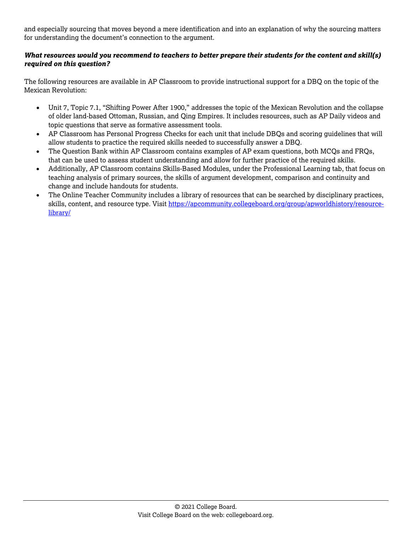and especially sourcing that moves beyond a mere identification and into an explanation of why the sourcing matters for understanding the document's connection to the argument.

# *What resources would you recommend to teachers to better prepare their students for the content and skill(s) required on this question?*

The following resources are available in AP Classroom to provide instructional support for a DBQ on the topic of the Mexican Revolution:

- Unit 7, Topic 7.1, "Shifting Power After 1900," addresses the topic of the Mexican Revolution and the collapse of older land-based Ottoman, Russian, and Qing Empires. It includes resources, such as AP Daily videos and topic questions that serve as formative assessment tools.
- AP Classroom has Personal Progress Checks for each unit that include DBQs and scoring guidelines that will allow students to practice the required skills needed to successfully answer a DBQ.
- The Question Bank within AP Classroom contains examples of AP exam questions, both MCQs and FRQs, that can be used to assess student understanding and allow for further practice of the required skills.
- Additionally, AP Classroom contains Skills-Based Modules, under the Professional Learning tab, that focus on teaching analysis of primary sources, the skills of argument development, comparison and continuity and change and include handouts for students.
- The Online Teacher Community includes a library of resources that can be searched by disciplinary practices, skills, content, and resource type. Visit [https://apcommunity.collegeboard.org/group/apworldhistory/resource](https://apcommunity.collegeboard.org/group/apworldhistory/resource-library/)[library/](https://apcommunity.collegeboard.org/group/apworldhistory/resource-library/)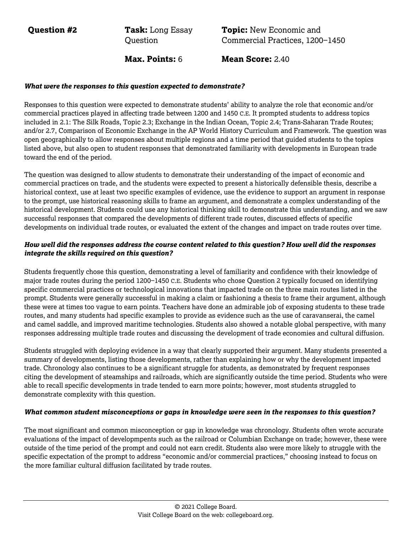**Question #2 Task:** Long Essay **Ouestion** 

**Topic:** New Economic and Commercial Practices, 1200−1450

**Max. Points: 6 Mean Score: 2.40** 

#### *What were the responses to this question expected to demonstrate?*

Responses to this question were expected to demonstrate students' ability to analyze the role that economic and/or commercial practices played in affecting trade between 1200 and 1450 C.E. It prompted students to address topics included in 2.1: The Silk Roads, Topic 2.3; Exchange in the Indian Ocean, Topic 2.4; Trans-Saharan Trade Routes; and/or 2.7, Comparison of Economic Exchange in the AP World History Curriculum and Framework. The question was open geographically to allow responses about multiple regions and a time period that guided students to the topics listed above, but also open to student responses that demonstrated familiarity with developments in European trade toward the end of the period.

The question was designed to allow students to demonstrate their understanding of the impact of economic and commercial practices on trade, and the students were expected to present a historically defensible thesis, describe a historical context, use at least two specific examples of evidence, use the evidence to support an argument in response to the prompt, use historical reasoning skills to frame an argument, and demonstrate a complex understanding of the historical development. Students could use any historical thinking skill to demonstrate this understanding, and we saw successful responses that compared the developments of different trade routes, discussed effects of specific developments on individual trade routes, or evaluated the extent of the changes and impact on trade routes over time.

# *How well did the responses address the course content related to this question? How well did the responses integrate the skills required on this question?*

Students frequently chose this question, demonstrating a level of familiarity and confidence with their knowledge of major trade routes during the period 1200−1450 C.E. Students who chose Question 2 typically focused on identifying specific commercial practices or technological innovations that impacted trade on the three main routes listed in the prompt. Students were generally successful in making a claim or fashioning a thesis to frame their argument, although these were at times too vague to earn points. Teachers have done an admirable job of exposing students to these trade routes, and many students had specific examples to provide as evidence such as the use of caravanserai, the camel and camel saddle, and improved maritime technologies. Students also showed a notable global perspective, with many responses addressing multiple trade routes and discussing the development of trade economies and cultural diffusion.

Students struggled with deploying evidence in a way that clearly supported their argument. Many students presented a summary of developments, listing those developments, rather than explaining how or why the development impacted trade. Chronology also continues to be a significant struggle for students, as demonstrated by frequent responses citing the development of steamships and railroads, which are significantly outside the time period. Students who were able to recall specific developments in trade tended to earn more points; however, most students struggled to demonstrate complexity with this question.

#### *What common student misconceptions or gaps in knowledge were seen in the responses to this question?*

The most significant and common misconception or gap in knowledge was chronology. Students often wrote accurate evaluations of the impact of developmpents such as the railroad or Columbian Exchange on trade; however, these were outside of the time period of the prompt and could not earn credit. Students also were more likely to struggle with the specific expectation of the prompt to address "economic and/or commercial practices," choosing instead to focus on the more familiar cultural diffusion facilitated by trade routes.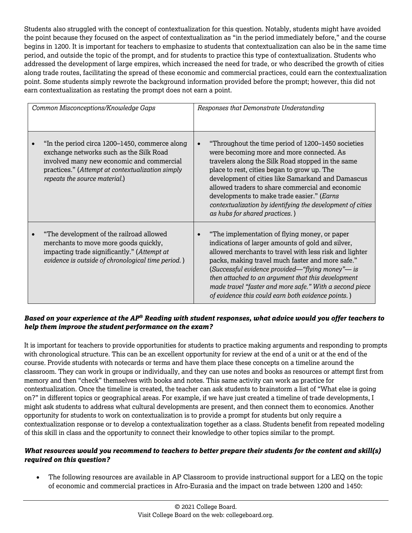Students also struggled with the concept of contextualization for this question. Notably, students might have avoided the point because they focused on the aspect of contextualization as "in the period immediately before," and the course begins in 1200. It is important for teachers to emphasize to students that contextualization can also be in the same time period, and outside the topic of the prompt, and for students to practice this type of contextualization. Students who addressed the development of large empires, which increased the need for trade, or who described the growth of cities along trade routes, facilitating the spread of these economic and commercial practices, could earn the contextualization point. Some students simply rewrote the background information provided before the prompt; however, this did not earn contextualization as restating the prompt does not earn a point.

| Common Misconceptions/Knowledge Gaps |                                                                                                                                                                                                                             | Responses that Demonstrate Understanding |                                                                                                                                                                                                                                                                                                                                                                                                                                                            |  |
|--------------------------------------|-----------------------------------------------------------------------------------------------------------------------------------------------------------------------------------------------------------------------------|------------------------------------------|------------------------------------------------------------------------------------------------------------------------------------------------------------------------------------------------------------------------------------------------------------------------------------------------------------------------------------------------------------------------------------------------------------------------------------------------------------|--|
|                                      | "In the period circa 1200–1450, commerce along<br>exchange networks such as the Silk Road<br>involved many new economic and commercial<br>practices." (Attempt at contextualization simply<br>repeats the source material.) |                                          | "Throughout the time period of 1200–1450 societies<br>were becoming more and more connected. As<br>travelers along the Silk Road stopped in the same<br>place to rest, cities began to grow up. The<br>development of cities like Samarkand and Damascus<br>allowed traders to share commercial and economic<br>developments to make trade easier." (Earns<br>contextualization by identifying the development of cities<br>as hubs for shared practices.) |  |
|                                      | "The development of the railroad allowed<br>merchants to move more goods quickly,<br>impacting trade significantly." (Attempt at<br>evidence is outside of chronological time period.)                                      |                                          | "The implementation of flying money, or paper<br>indications of larger amounts of gold and silver,<br>allowed merchants to travel with less risk and lighter<br>packs, making travel much faster and more safe."<br>(Successful evidence provided—"flying money"— is<br>then attached to an argument that this development<br>made travel "faster and more safe." With a second piece<br>of evidence this could earn both evidence points.)                |  |

# *Based on your experience at the AP® Reading with student responses, what advice would you offer teachers to help them improve the student performance on the exam?*

It is important for teachers to provide opportunities for students to practice making arguments and responding to prompts with chronological structure. This can be an excellent opportunity for review at the end of a unit or at the end of the course. Provide students with notecards or terms and have them place these concepts on a timeline around the classroom. They can work in groups or individually, and they can use notes and books as resources or attempt first from memory and then "check" themselves with books and notes. This same activity can work as practice for contextualization. Once the timeline is created, the teacher can ask students to brainstorm a list of "What else is going on?" in different topics or geographical areas. For example, if we have just created a timeline of trade developments, I might ask students to address what cultural developments are present, and then connect them to economics. Another opportunity for students to work on contextualization is to provide a prompt for students but only require a contextualization response or to develop a contextualization together as a class. Students benefit from repeated modeling of this skill in class and the opportunity to connect their knowledge to other topics similar to the prompt.

# *What resources would you recommend to teachers to better prepare their students for the content and skill(s) required on this question?*

• The following resources are available in AP Classroom to provide instructional support for a LEQ on the topic of economic and commercial practices in Afro-Eurasia and the impact on trade between 1200 and 1450: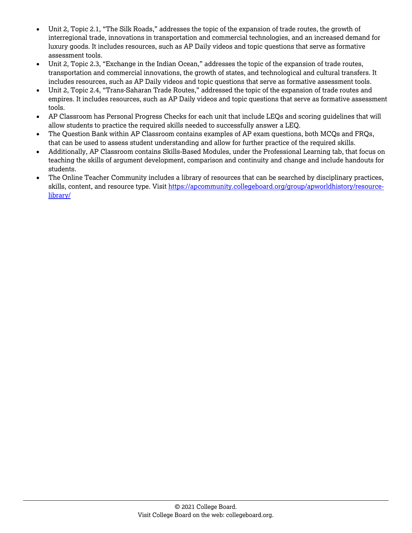- Unit 2, Topic 2.1, "The Silk Roads," addresses the topic of the expansion of trade routes, the growth of interregional trade, innovations in transportation and commercial technologies, and an increased demand for luxury goods. It includes resources, such as AP Daily videos and topic questions that serve as formative assessment tools.
- Unit 2, Topic 2.3, "Exchange in the Indian Ocean," addresses the topic of the expansion of trade routes, transportation and commercial innovations, the growth of states, and technological and cultural transfers. It includes resources, such as AP Daily videos and topic questions that serve as formative assessment tools.
- Unit 2, Topic 2.4, "Trans-Saharan Trade Routes," addressed the topic of the expansion of trade routes and empires. It includes resources, such as AP Daily videos and topic questions that serve as formative assessment tools.
- AP Classroom has Personal Progress Checks for each unit that include LEQs and scoring guidelines that will allow students to practice the required skills needed to successfully answer a LEQ.
- The Question Bank within AP Classroom contains examples of AP exam questions, both MCQs and FRQs, that can be used to assess student understanding and allow for further practice of the required skills.
- Additionally, AP Classroom contains Skills-Based Modules, under the Professional Learning tab, that focus on teaching the skills of argument development, comparison and continuity and change and include handouts for students.
- The Online Teacher Community includes a library of resources that can be searched by disciplinary practices, skills, content, and resource type. Visit [https://apcommunity.collegeboard.org/group/apworldhistory/resource](https://apcommunity.collegeboard.org/group/apworldhistory/resource-library/)[library/](https://apcommunity.collegeboard.org/group/apworldhistory/resource-library/)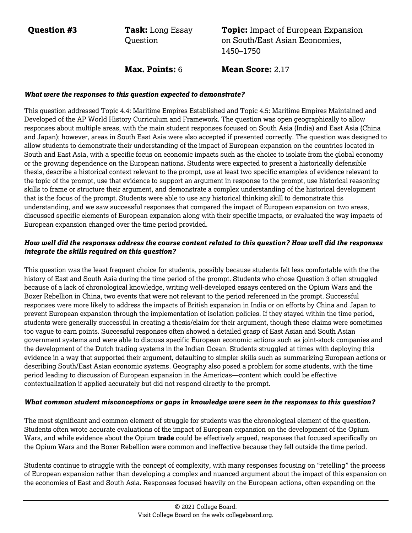**Question #3 Task:** Long Essay Question

**Topic:** Impact of European Expansion on South/East Asian Economies, 1450–1750

**Max. Points:** 6 **Mean Score:** 2.17

#### *What were the responses to this question expected to demonstrate?*

This question addressed Topic 4.4: Maritime Empires Established and Topic 4.5: Maritime Empires Maintained and Developed of the AP World History Curriculum and Framework. The question was open geographically to allow responses about multiple areas, with the main student responses focused on South Asia (India) and East Asia (China and Japan); however, areas in South East Asia were also accepted if presented correctly. The question was designed to allow students to demonstrate their understanding of the impact of European expansion on the countries located in South and East Asia, with a specific focus on economic impacts such as the choice to isolate from the global economy or the growing dependence on the European nations. Students were expected to present a historically defensible thesis, describe a historical context relevant to the prompt, use at least two specific examples of evidence relevant to the topic of the prompt, use that evidence to support an argument in response to the prompt, use historical reasoning skills to frame or structure their argument, and demonstrate a complex understanding of the historical development that is the focus of the prompt. Students were able to use any historical thinking skill to demonstrate this understanding, and we saw successful responses that compared the impact of European expansion on two areas, discussed specific elements of European expansion along with their specific impacts, or evaluated the way impacts of European expansion changed over the time period provided.

# *How well did the responses address the course content related to this question? How well did the responses integrate the skills required on this question?*

This question was the least frequent choice for students, possibly because students felt less comfortable with the the history of East and South Asia during the time period of the prompt. Students who chose Question 3 often struggled because of a lack of chronological knowledge, writing well-developed essays centered on the Opium Wars and the Boxer Rebellion in China, two events that were not relevant to the period referenced in the prompt. Successful responses were more likely to address the impacts of British expansion in India or on efforts by China and Japan to prevent European expansion through the implementation of isolation policies. If they stayed within the time period, students were generally successful in creating a thesis/claim for their argument, though these claims were sometimes too vague to earn points. Successful responses often showed a detailed grasp of East Asian and South Asian government systems and were able to discuss specific European economic actions such as joint-stock companies and the development of the Dutch trading systems in the Indian Ocean. Students struggled at times with deploying this evidence in a way that supported their argument, defaulting to simpler skills such as summarizing European actions or describing South/East Asian economic systems. Geography also posed a problem for some students, with the time period leading to discussion of European expansion in the Americas—content which could be effective contextualization if applied accurately but did not respond directly to the prompt.

#### *What common student misconceptions or gaps in knowledge were seen in the responses to this question?*

The most significant and common element of struggle for students was the chronological element of the question. Students often wrote accurate evaluations of the impact of European expansion on the development of the Opium Wars, and while evidence about the Opium **trade** could be effectively argued, responses that focused specifically on the Opium Wars and the Boxer Rebellion were common and ineffective because they fell outside the time period.

Students continue to struggle with the concept of complexity, with many responses focusing on "retelling" the process of European expansion rather than developing a complex and nuanced argument about the impact of this expansion on the economies of East and South Asia. Responses focused heavily on the European actions, often expanding on the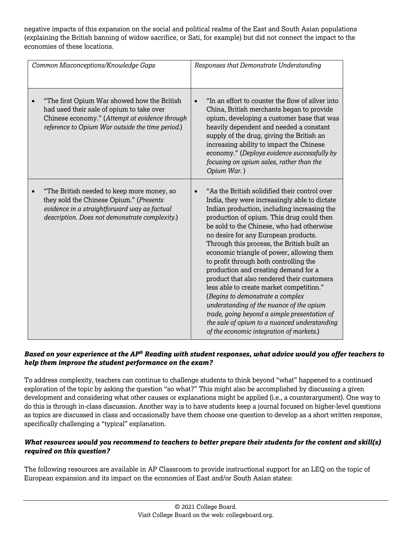negative impacts of this expansion on the social and political realms of the East and South Asian populations (explaining the British banning of widow sacrifice, or Sati, for example) but did not connect the impact to the economies of these locations.

| Common Misconceptions/Knowledge Gaps |                                                                                                                                                                                                | Responses that Demonstrate Understanding |                                                                                                                                                                                                                                                                                                                                                                                                                                                                                                                                                                                                                                                                                                                                                                                    |  |
|--------------------------------------|------------------------------------------------------------------------------------------------------------------------------------------------------------------------------------------------|------------------------------------------|------------------------------------------------------------------------------------------------------------------------------------------------------------------------------------------------------------------------------------------------------------------------------------------------------------------------------------------------------------------------------------------------------------------------------------------------------------------------------------------------------------------------------------------------------------------------------------------------------------------------------------------------------------------------------------------------------------------------------------------------------------------------------------|--|
|                                      | "The first Opium War showed how the British<br>had used their sale of opium to take over<br>Chinese economy." (Attempt at evidence through<br>reference to Opium War outside the time period.) |                                          | "In an effort to counter the flow of silver into<br>China, British merchants began to provide<br>opium, developing a customer base that was<br>heavily dependent and needed a constant<br>supply of the drug, giving the British an<br>increasing ability to impact the Chinese<br>economy." (Deploys evidence successfully by<br>focusing on opium sales, rather than the<br>Opium War.)                                                                                                                                                                                                                                                                                                                                                                                          |  |
|                                      | "The British needed to keep more money, so<br>they sold the Chinese Opium." (Presents<br>evidence in a straightforward way as factual<br>description. Does not demonstrate complexity.)        |                                          | "As the British solidified their control over<br>India, they were increasingly able to dictate<br>Indian production, including increasing the<br>production of opium. This drug could then<br>be sold to the Chinese, who had otherwise<br>no desire for any European products.<br>Through this process, the British built an<br>economic triangle of power, allowing them<br>to profit through both controlling the<br>production and creating demand for a<br>product that also rendered their customers<br>less able to create market competition."<br>(Begins to demonstrate a complex<br>understanding of the nuance of the opium<br>trade, going beyond a simple presentation of<br>the sale of opium to a nuanced understanding<br>of the economic integration of markets.) |  |

# *Based on your experience at the AP® Reading with student responses, what advice would you offer teachers to help them improve the student performance on the exam?*

To address complexity, teachers can continue to challenge students to think beyond "what" happened to a continued exploration of the topic by asking the question "so what?" This might also be accomplished by discussing a given development and considering what other causes or explanations might be applied (i.e., a counterargument). One way to do this is through in-class discussion. Another way is to have students keep a journal focused on higher-level questions as topics are discussed in class and occasionally have them choose one question to develop as a short written response, specifically challenging a "typical" explanation.

# *What resources would you recommend to teachers to better prepare their students for the content and skill(s) required on this question?*

The following resources are available in AP Classroom to provide instructional support for an LEQ on the topic of European expansion and its impact on the economies of East and/or South Asian states: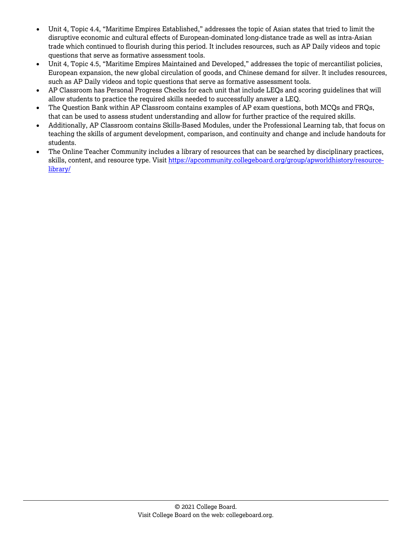- Unit 4, Topic 4.4, "Maritime Empires Established," addresses the topic of Asian states that tried to limit the disruptive economic and cultural effects of European-dominated long-distance trade as well as intra-Asian trade which continued to flourish during this period. It includes resources, such as AP Daily videos and topic questions that serve as formative assessment tools.
- Unit 4, Topic 4.5, "Maritime Empires Maintained and Developed," addresses the topic of mercantilist policies, European expansion, the new global circulation of goods, and Chinese demand for silver. It includes resources, such as AP Daily videos and topic questions that serve as formative assessment tools.
- AP Classroom has Personal Progress Checks for each unit that include LEQs and scoring guidelines that will allow students to practice the required skills needed to successfully answer a LEQ.
- The Question Bank within AP Classroom contains examples of AP exam questions, both MCQs and FRQs, that can be used to assess student understanding and allow for further practice of the required skills.
- Additionally, AP Classroom contains Skills-Based Modules, under the Professional Learning tab, that focus on teaching the skills of argument development, comparison, and continuity and change and include handouts for students.
- The Online Teacher Community includes a library of resources that can be searched by disciplinary practices, skills, content, and resource type. Visit [https://apcommunity.collegeboard.org/group/apworldhistory/resource](https://apcommunity.collegeboard.org/group/apworldhistory/resource-library/)[library/](https://apcommunity.collegeboard.org/group/apworldhistory/resource-library/)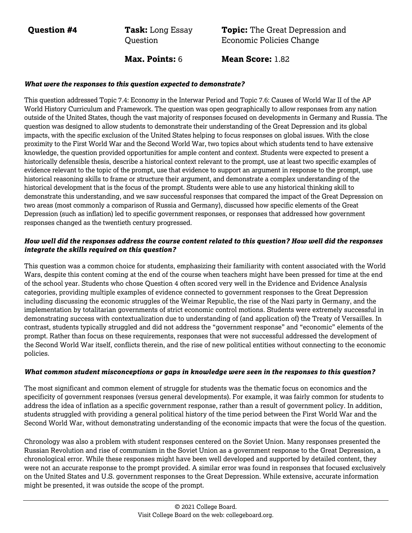**Question #4 Task:** Long Essay **Ouestion** 

**Topic:** The Great Depression and Economic Policies Change

**Max. Points:** 6 **Mean Score:** 1.82

# *What were the responses to this question expected to demonstrate?*

This question addressed Topic 7.4: Economy in the Interwar Period and Topic 7.6: Causes of World War II of the AP World History Curriculum and Framework. The question was open geographically to allow responses from any nation outside of the United States, though the vast majority of responses focused on developments in Germany and Russia. The question was designed to allow students to demonstrate their understanding of the Great Depression and its global impacts, with the specific exclusion of the United States helping to focus responses on global issues. With the close proximity to the First World War and the Second World War, two topics about which students tend to have extensive knowledge, the question provided opportunities for ample content and context. Students were expected to present a historically defensible thesis, describe a historical context relevant to the prompt, use at least two specific examples of evidence relevant to the topic of the prompt, use that evidence to support an argument in response to the prompt, use historical reasoning skills to frame or structure their argument, and demonstrate a complex understanding of the historical development that is the focus of the prompt. Students were able to use any historical thinking skill to demonstrate this understanding, and we saw successful responses that compared the impact of the Great Depression on two areas (most commonly a comparison of Russia and Germany), discussed how specific elements of the Great Depression (such as inflation) led to specific government responses, or responses that addressed how government responses changed as the twentieth century progressed.

# *How well did the responses address the course content related to this question? How well did the responses integrate the skills required on this question?*

This question was a common choice for students, emphasizing their familiarity with content associated with the World Wars, despite this content coming at the end of the course when teachers might have been pressed for time at the end of the school year. Students who chose Question 4 often scored very well in the Evidence and Evidence Analysis categories, providing multiple examples of evidence connected to government responses to the Great Depression including discussing the economic struggles of the Weimar Republic, the rise of the Nazi party in Germany, and the implementation by totalitarian governments of strict economic control motions. Students were extremely successful in demonstrating success with contextualization due to understanding of (and application of) the Treaty of Versailles. In contrast, students typically struggled and did not address the "government response" and "economic" elements of the prompt. Rather than focus on these requirements, responses that were not successful addressed the development of the Second World War itself, conflicts therein, and the rise of new political entities without connecting to the economic policies.

#### *What common student misconceptions or gaps in knowledge were seen in the responses to this question?*

The most significant and common element of struggle for students was the thematic focus on economics and the specificity of government responses (versus general developments). For example, it was fairly common for students to address the idea of inflation as a specific government response, rather than a result of government policy. In addition, students struggled with providing a general political history of the time period between the First World War and the Second World War, without demonstrating understanding of the economic impacts that were the focus of the question.

Chronology was also a problem with student responses centered on the Soviet Union. Many responses presented the Russian Revolution and rise of communism in the Soviet Union as a government response to the Great Depression, a chronological error. While these responses might have been well developed and supported by detailed content, they were not an accurate response to the prompt provided. A similar error was found in responses that focused exclusively on the United States and U.S. government responses to the Great Depression. While extensive, accurate information might be presented, it was outside the scope of the prompt.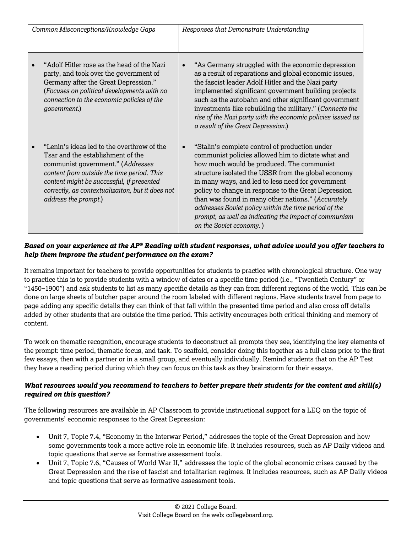| Common Misconceptions/Knowledge Gaps                                                                                                                                                                                                                                                        | Responses that Demonstrate Understanding                                                                                                                                                                                                                                                                                                                                                                                                                                                                                              |  |  |
|---------------------------------------------------------------------------------------------------------------------------------------------------------------------------------------------------------------------------------------------------------------------------------------------|---------------------------------------------------------------------------------------------------------------------------------------------------------------------------------------------------------------------------------------------------------------------------------------------------------------------------------------------------------------------------------------------------------------------------------------------------------------------------------------------------------------------------------------|--|--|
| "Adolf Hitler rose as the head of the Nazi<br>party, and took over the government of<br>Germany after the Great Depression."<br>(Focuses on political developments with no<br>connection to the economic policies of the<br>government.)                                                    | "As Germany struggled with the economic depression<br>$\bullet$<br>as a result of reparations and global economic issues,<br>the fascist leader Adolf Hitler and the Nazi party<br>implemented significant government building projects<br>such as the autobahn and other significant government<br>investments like rebuilding the military." (Connects the<br>rise of the Nazi party with the economic policies issued as<br>a result of the Great Depression.)                                                                     |  |  |
| "Lenin's ideas led to the overthrow of the<br>Tsar and the establishment of the<br>communist government." (Addresses<br>content from outside the time period. This<br>content might be successful, if presented<br>correctly, as contextualizaiton, but it does not<br>address the prompt.) | "Stalin's complete control of production under<br>$\bullet$<br>communist policies allowed him to dictate what and<br>how much would be produced. The communist<br>structure isolated the USSR from the global economy<br>in many ways, and led to less need for government<br>policy to change in response to the Great Depression<br>than was found in many other nations." (Accurately<br>addresses Soviet policy within the time period of the<br>prompt, as well as indicating the impact of communism<br>on the Soviet economy.) |  |  |

It remains important for teachers to provide opportunities for students to practice with chronological structure. One way to practice this is to provide students with a window of dates or a specific time period (i.e., "Twentieth Century" or "1450−1900") and ask students to list as many specific details as they can from different regions of the world. This can be done on large sheets of butcher paper around the room labeled with different regions. Have students travel from page to page adding any specific details they can think of that fall within the presented time period and also cross off details added by other students that are outside the time period. This activity encourages both critical thinking and memory of content.

To work on thematic recognition, encourage students to deconstruct all prompts they see, identifying the key elements of the prompt: time period, thematic focus, and task. To scaffold, consider doing this together as a full class prior to the first few essays, then with a partner or in a small group, and eventually individually. Remind students that on the AP Test they have a reading period during which they can focus on this task as they brainstorm for their essays.

# *What resources would you recommend to teachers to better prepare their students for the content and skill(s) required on this question?*

The following resources are available in AP Classroom to provide instructional support for a LEQ on the topic of governments' economic responses to the Great Depression:

- Unit 7, Topic 7.4, "Economy in the Interwar Period," addresses the topic of the Great Depression and how some governments took a more active role in economic life. It includes resources, such as AP Daily videos and topic questions that serve as formative assessment tools.
- Unit 7, Topic 7.6, "Causes of World War II," addresses the topic of the global economic crises caused by the Great Depression and the rise of fascist and totalitarian regimes. It includes resources, such as AP Daily videos and topic questions that serve as formative assessment tools.